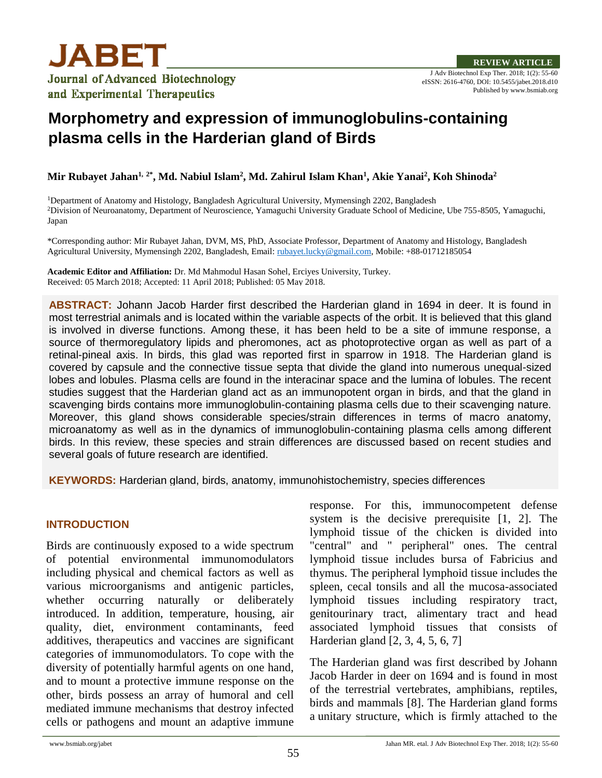

J Adv Biotechnol Exp Ther. 2018; 1(2): 55-60 eISSN: 2616-4760, DOI: 10.5455/jabet.2018.d10 Published by www.bsmiab.org

# **Morphometry and expression of immunoglobulins-containing plasma cells in the Harderian gland of Birds**

**Mir Rubayet Jahan1, 2\* , Md. Nabiul Islam<sup>2</sup> , Md. Zahirul Islam Khan<sup>1</sup> , Akie Yanai<sup>2</sup> , Koh Shinoda<sup>2</sup>**

<sup>1</sup>Department of Anatomy and Histology, Bangladesh Agricultural University, Mymensingh 2202, Bangladesh <sup>2</sup>Division of Neuroanatomy, Department of Neuroscience, Yamaguchi University Graduate School of Medicine, Ube 755-8505, Yamaguchi, Japan

\*Corresponding author: Mir Rubayet Jahan, DVM, MS, PhD, Associate Professor, Department of Anatomy and Histology, Bangladesh Agricultural University, Mymensingh 2202, Bangladesh, Email: [rubayet.lucky@gmail.com,](mailto:rubayet.lucky@gmail.com) Mobile: +88-01712185054

**Academic Editor and Affiliation:** Dr. Md Mahmodul Hasan Sohel, Erciyes University, Turkey. Received: 05 March 2018; Accepted: 11 April 2018; Published: 05 May 2018.

**ABSTRACT:** Johann Jacob Harder first described the Harderian gland in 1694 in deer. It is found in most terrestrial animals and is located within the variable aspects of the orbit. It is believed that this gland is involved in diverse functions. Among these, it has been held to be a site of immune response, a source of thermoregulatory lipids and pheromones, act as photoprotective organ as well as part of a retinal-pineal axis. In birds, this glad was reported first in sparrow in 1918. The Harderian gland is covered by capsule and the connective tissue septa that divide the gland into numerous unequal-sized lobes and lobules. Plasma cells are found in the interacinar space and the lumina of lobules. The recent studies suggest that the Harderian gland act as an immunopotent organ in birds, and that the gland in scavenging birds contains more immunoglobulin-containing plasma cells due to their scavenging nature. Moreover, this gland shows considerable species/strain differences in terms of macro anatomy, microanatomy as well as in the dynamics of immunoglobulin-containing plasma cells among different birds. In this review, these species and strain differences are discussed based on recent studies and several goals of future research are identified.

**KEYWORDS:** Harderian gland, birds, anatomy, immunohistochemistry, species differences

## **INTRODUCTION**

Birds are continuously exposed to a wide spectrum of potential environmental immunomodulators including physical and chemical factors as well as various microorganisms and antigenic particles, whether occurring naturally or deliberately introduced. In addition, temperature, housing, air quality, diet, environment contaminants, feed additives, therapeutics and vaccines are significant categories of immunomodulators. To cope with the diversity of potentially harmful agents on one hand, and to mount a protective immune response on the other, birds possess an array of humoral and cell mediated immune mechanisms that destroy infected cells or pathogens and mount an adaptive immune

response. For this, immunocompetent defense system is the decisive prerequisite [1, 2]. The lymphoid tissue of the chicken is divided into "central" and " peripheral" ones. The central lymphoid tissue includes bursa of Fabricius and thymus. The peripheral lymphoid tissue includes the spleen, cecal tonsils and all the mucosa-associated lymphoid tissues including respiratory tract, genitourinary tract, alimentary tract and head associated lymphoid tissues that consists of Harderian gland [2, 3, 4, 5, 6, 7]

The Harderian gland was first described by Johann Jacob Harder in deer on 1694 and is found in most of the terrestrial vertebrates, amphibians, reptiles, birds and mammals [8]. The Harderian gland forms a unitary structure, which is firmly attached to the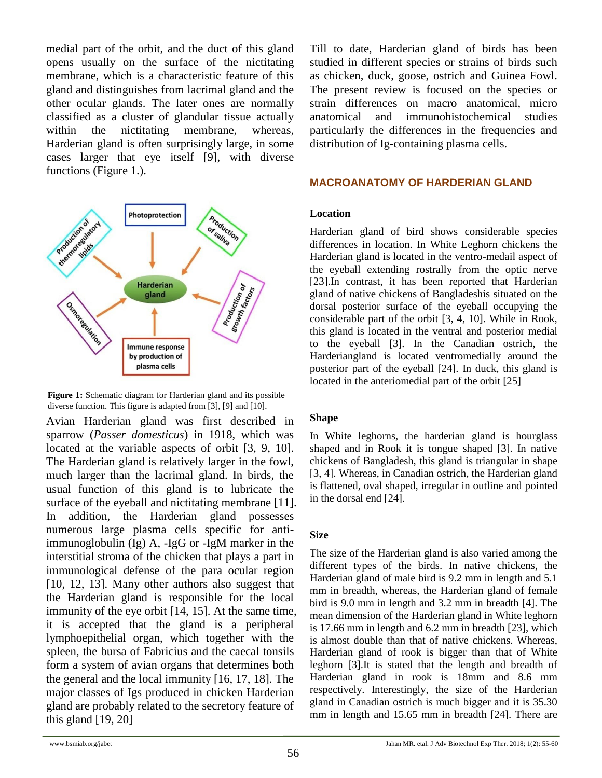medial part of the orbit, and the duct of this gland opens usually on the surface of the nictitating membrane, which is a characteristic feature of this gland and distinguishes from lacrimal gland and the other ocular glands. The later ones are normally classified as a cluster of glandular tissue actually within the nictitating membrane, whereas, Harderian gland is often surprisingly large, in some cases larger that eye itself [9], with diverse functions (Figure 1.).



**Figure 1:** Schematic diagram for Harderian gland and its possible diverse function. This figure is adapted from [3], [9] and [10].

Avian Harderian gland was first described in sparrow (*Passer domesticus*) in 1918, which was located at the variable aspects of orbit [3, 9, 10]. The Harderian gland is relatively larger in the fowl, much larger than the lacrimal gland. In birds, the usual function of this gland is to lubricate the surface of the eyeball and nictitating membrane [11]. In addition, the Harderian gland possesses numerous large plasma cells specific for antiimmunoglobulin (Ig) A, -IgG or -IgM marker in the interstitial stroma of the chicken that plays a part in immunological defense of the para ocular region [10, 12, 13]. Many other authors also suggest that the Harderian gland is responsible for the local immunity of the eye orbit [14, 15]. At the same time, it is accepted that the gland is a peripheral lymphoepithelial organ, which together with the spleen, the bursa of Fabricius and the caecal tonsils form a system of avian organs that determines both the general and the local immunity [16, 17, 18]. The major classes of Igs produced in chicken Harderian gland are probably related to the secretory feature of this gland  $[19, 20]$ 

Till to date, Harderian gland of birds has been studied in different species or strains of birds such as chicken, duck, goose, ostrich and Guinea Fowl. The present review is focused on the species or strain differences on macro anatomical, micro anatomical and immunohistochemical studies particularly the differences in the frequencies and distribution of Ig-containing plasma cells.

# **MACROANATOMY OF HARDERIAN GLAND**

## **Location**

Harderian gland of bird shows considerable species differences in location. In White Leghorn chickens the Harderian gland is located in the ventro-medail aspect of the eyeball extending rostrally from the optic nerve [23].In contrast, it has been reported that Harderian gland of native chickens of Bangladeshis situated on the dorsal posterior surface of the eyeball occupying the considerable part of the orbit [3, 4, 10]. While in Rook, this gland is located in the ventral and posterior medial to the eyeball [3]. In the Canadian ostrich, the Harderiangland is located ventromedially around the posterior part of the eyeball [24]. In duck, this gland is located in the anteriomedial part of the orbit [25]

## **Shape**

In White leghorns, the harderian gland is hourglass shaped and in Rook it is tongue shaped [3]. In native chickens of Bangladesh, this gland is triangular in shape [3, 4]. Whereas, in Canadian ostrich, the Harderian gland is flattened, oval shaped, irregular in outline and pointed in the dorsal end [24].

## **Size**

The size of the Harderian gland is also varied among the different types of the birds. In native chickens, the Harderian gland of male bird is 9.2 mm in length and 5.1 mm in breadth, whereas, the Harderian gland of female bird is 9.0 mm in length and 3.2 mm in breadth [4]. The mean dimension of the Harderian gland in White leghorn is 17.66 mm in length and 6.2 mm in breadth [23], which is almost double than that of native chickens. Whereas, Harderian gland of rook is bigger than that of White leghorn [3].It is stated that the length and breadth of Harderian gland in rook is 18mm and 8.6 mm respectively. Interestingly, the size of the Harderian gland in Canadian ostrich is much bigger and it is 35.30 mm in length and 15.65 mm in breadth [24]. There are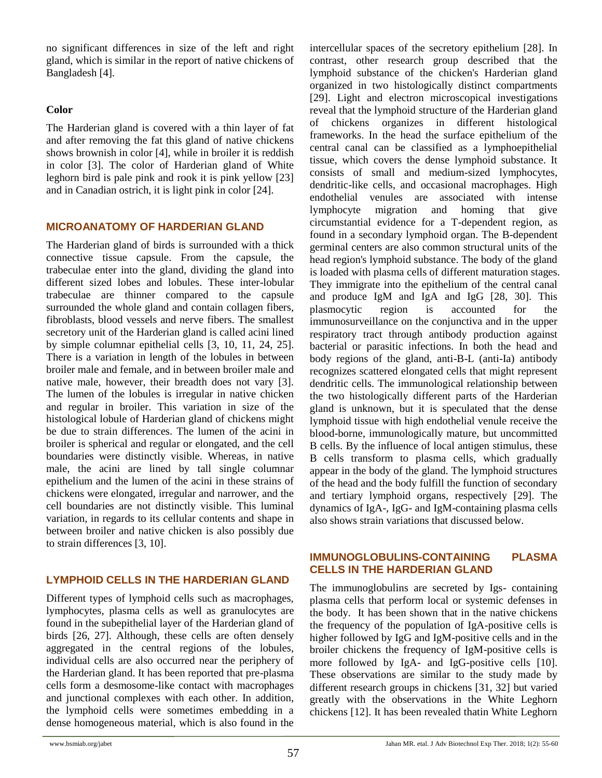no significant differences in size of the left and right gland, which is similar in the report of native chickens of Bangladesh [4].

## **Color**

The Harderian gland is covered with a thin layer of fat and after removing the fat this gland of native chickens shows brownish in color [4], while in broiler it is reddish in color [3]. The color of Harderian gland of White leghorn bird is pale pink and rook it is pink yellow [23] and in Canadian ostrich, it is light pink in color [24].

# **MICROANATOMY OF HARDERIAN GLAND**

The Harderian gland of birds is surrounded with a thick connective tissue capsule. From the capsule, the trabeculae enter into the gland, dividing the gland into different sized lobes and lobules. These inter-lobular trabeculae are thinner compared to the capsule surrounded the whole gland and contain collagen fibers, fibroblasts, blood vessels and nerve fibers. The smallest secretory unit of the Harderian gland is called acini lined by simple columnar epithelial cells [3, 10, 11, 24, 25]. There is a variation in length of the lobules in between broiler male and female, and in between broiler male and native male, however, their breadth does not vary [3]. The lumen of the lobules is irregular in native chicken and regular in broiler. This variation in size of the histological lobule of Harderian gland of chickens might be due to strain differences. The lumen of the acini in broiler is spherical and regular or elongated, and the cell boundaries were distinctly visible. Whereas, in native male, the acini are lined by tall single columnar epithelium and the lumen of the acini in these strains of chickens were elongated, irregular and narrower, and the cell boundaries are not distinctly visible. This luminal variation, in regards to its cellular contents and shape in between broiler and native chicken is also possibly due to strain differences [3, 10].

# **LYMPHOID CELLS IN THE HARDERIAN GLAND**

Different types of lymphoid cells such as macrophages, lymphocytes, plasma cells as well as granulocytes are found in the subepithelial layer of the Harderian gland of birds [26, 27]. Although, these cells are often densely aggregated in the central regions of the lobules, individual cells are also occurred near the periphery of the Harderian gland. It has been reported that pre-plasma cells form a desmosome-like contact with macrophages and junctional complexes with each other. In addition, the lymphoid cells were sometimes embedding in a dense homogeneous material, which is also found in the intercellular spaces of the secretory epithelium [28]. In contrast, other research group described that the lymphoid substance of the chicken's Harderian gland organized in two histologically distinct compartments [29]. Light and electron microscopical investigations reveal that the lymphoid structure of the Harderian gland of chickens organizes in different histological frameworks. In the head the surface epithelium of the central canal can be classified as a lymphoepithelial tissue, which covers the dense lymphoid substance. It consists of small and medium-sized lymphocytes, dendritic-like cells, and occasional macrophages. High endothelial venules are associated with intense lymphocyte migration and homing that give circumstantial evidence for a T-dependent region, as found in a secondary lymphoid organ. The B-dependent germinal centers are also common structural units of the head region's lymphoid substance. The body of the gland is loaded with plasma cells of different maturation stages. They immigrate into the epithelium of the central canal and produce IgM and IgA and IgG [28, 30]. This plasmocytic region is accounted for the immunosurveillance on the conjunctiva and in the upper respiratory tract through antibody production against bacterial or parasitic infections. In both the head and body regions of the gland, anti-B-L (anti-Ia) antibody recognizes scattered elongated cells that might represent dendritic cells. The immunological relationship between the two histologically different parts of the Harderian gland is unknown, but it is speculated that the dense lymphoid tissue with high endothelial venule receive the blood-borne, immunologically mature, but uncommitted B cells. By the influence of local antigen stimulus, these B cells transform to plasma cells, which gradually appear in the body of the gland. The lymphoid structures of the head and the body fulfill the function of secondary and tertiary lymphoid organs, respectively [29]. The dynamics of IgA-, IgG- and IgM-containing plasma cells also shows strain variations that discussed below.

# **IMMUNOGLOBULINS-CONTAINING PLASMA CELLS IN THE HARDERIAN GLAND**

The immunoglobulins are secreted by Igs- containing plasma cells that perform local or systemic defenses in the body. It has been shown that in the native chickens the frequency of the population of IgA-positive cells is higher followed by IgG and IgM-positive cells and in the broiler chickens the frequency of IgM-positive cells is more followed by IgA- and IgG-positive cells [10]. These observations are similar to the study made by different research groups in chickens [31, 32] but varied greatly with the observations in the White Leghorn chickens [12]. It has been revealed thatin White Leghorn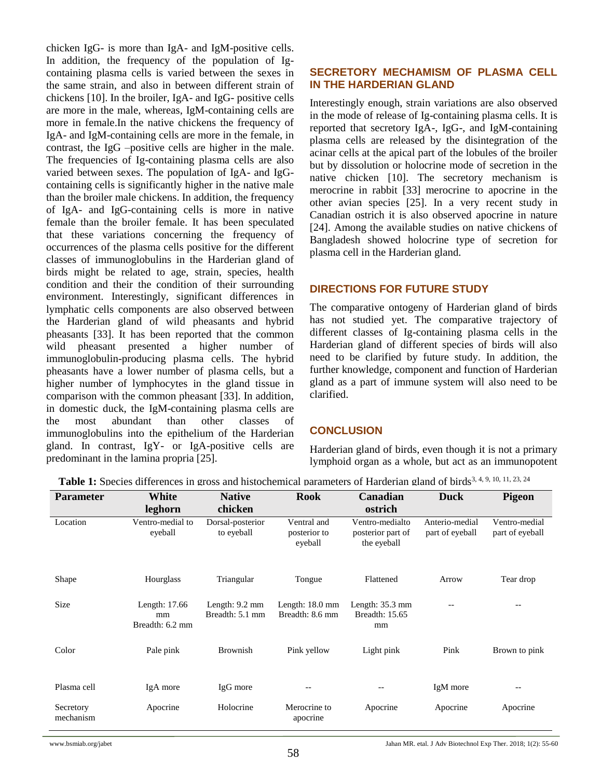chicken IgG- is more than IgA- and IgM-positive cells. In addition, the frequency of the population of Igcontaining plasma cells is varied between the sexes in the same strain, and also in between different strain of chickens [10]. In the broiler, IgA- and IgG- positive cells are more in the male, whereas, IgM-containing cells are more in female.In the native chickens the frequency of IgA- and IgM-containing cells are more in the female, in contrast, the IgG –positive cells are higher in the male. The frequencies of Ig-containing plasma cells are also varied between sexes. The population of IgA- and IgGcontaining cells is significantly higher in the native male than the broiler male chickens. In addition, the frequency of IgA- and IgG-containing cells is more in native female than the broiler female. It has been speculated that these variations concerning the frequency of occurrences of the plasma cells positive for the different classes of immunoglobulins in the Harderian gland of birds might be related to age, strain, species, health condition and their the condition of their surrounding environment. Interestingly, significant differences in lymphatic cells components are also observed between the Harderian gland of wild pheasants and hybrid pheasants [33]. It has been reported that the common wild pheasant presented a higher number of immunoglobulin-producing plasma cells. The hybrid pheasants have a lower number of plasma cells, but a higher number of lymphocytes in the gland tissue in comparison with the common pheasant [33]. In addition, in domestic duck, the IgM-containing plasma cells are the most abundant than other classes of immunoglobulins into the epithelium of the Harderian gland. In contrast, IgY- or IgA-positive cells are predominant in the lamina propria [25].

# **SECRETORY MECHAMISM OF PLASMA CELL IN THE HARDERIAN GLAND**

Interestingly enough, strain variations are also observed in the mode of release of Ig-containing plasma cells. It is reported that secretory IgA-, IgG-, and IgM-containing plasma cells are released by the disintegration of the acinar cells at the apical part of the lobules of the broiler but by dissolution or holocrine mode of secretion in the native chicken [10]. The secretory mechanism is merocrine in rabbit [33] merocrine to apocrine in the other avian species [25]. In a very recent study in Canadian ostrich it is also observed apocrine in nature [24]. Among the available studies on native chickens of Bangladesh showed holocrine type of secretion for plasma cell in the Harderian gland.

# **DIRECTIONS FOR FUTURE STUDY**

The comparative ontogeny of Harderian gland of birds has not studied yet. The comparative trajectory of different classes of Ig-containing plasma cells in the Harderian gland of different species of birds will also need to be clarified by future study. In addition, the further knowledge, component and function of Harderian gland as a part of immune system will also need to be clarified.

# **CONCLUSION**

Harderian gland of birds, even though it is not a primary lymphoid organ as a whole, but act as an immunopotent

| <b>Parameter</b>       | White                                  | <b>Native</b>                               | <b>Rook</b>                                  | Canadian                                            | <b>Duck</b>                       | <b>Pigeon</b>                    |
|------------------------|----------------------------------------|---------------------------------------------|----------------------------------------------|-----------------------------------------------------|-----------------------------------|----------------------------------|
|                        | leghorn                                | chicken                                     |                                              | ostrich                                             |                                   |                                  |
| Location               | Ventro-medial to<br>eyeball            | Dorsal-posterior<br>to eyeball              | Ventral and<br>posterior to<br>eyeball       | Ventro-medialto<br>posterior part of<br>the eyeball | Anterio-medial<br>part of eyeball | Ventro-medial<br>part of eyeball |
| Shape                  | Hourglass                              | Triangular                                  | Tongue                                       | Flattened                                           | Arrow                             | Tear drop                        |
| <b>Size</b>            | Length: 17.66<br>mm<br>Breadth: 6.2 mm | Length: $9.2 \text{ mm}$<br>Breadth: 5.1 mm | Length: $18.0 \text{ mm}$<br>Breadth: 8.6 mm | Length: $35.3$ mm<br>Breadth: 15.65<br>mm           | $- -$                             | $- -$                            |
| Color                  | Pale pink                              | <b>Brownish</b>                             | Pink yellow                                  | Light pink                                          | Pink                              | Brown to pink                    |
| Plasma cell            | IgA more                               | IgG more                                    | $\qquad \qquad -$                            | --                                                  | IgM more                          | --                               |
| Secretory<br>mechanism | Apocrine                               | Holocrine                                   | Merocrine to<br>apocrine                     | Apocrine                                            | Apocrine                          | Apocrine                         |

Table 1: Species differences in gross and histochemical parameters of Harderian gland of birds<sup>3, 4, 9, 10, 11, 23, 24</sup>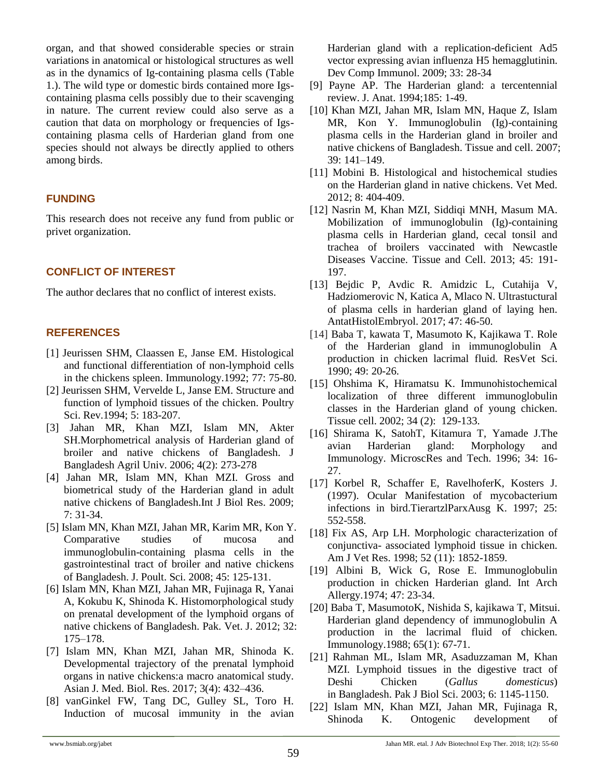organ, and that showed considerable species or strain variations in anatomical or histological structures as well as in the dynamics of Ig-containing plasma cells (Table 1.). The wild type or domestic birds contained more Igscontaining plasma cells possibly due to their scavenging in nature. The current review could also serve as a caution that data on morphology or frequencies of Igscontaining plasma cells of Harderian gland from one species should not always be directly applied to others among birds.

# **FUNDING**

This research does not receive any fund from public or privet organization.

# **CONFLICT OF INTEREST**

The author declares that no conflict of interest exists.

## **REFERENCES**

- [1] Jeurissen SHM, Claassen E, Janse EM. Histological and functional differentiation of non-lymphoid cells in the chickens spleen. Immunology.1992; 77: 75-80.
- [2] Jeurissen SHM, Vervelde L, Janse EM. Structure and function of lymphoid tissues of the chicken. Poultry Sci. Rev.1994; 5: 183-207.
- [3] Jahan MR, Khan MZI, Islam MN, Akter SH.Morphometrical analysis of Harderian gland of broiler and native chickens of Bangladesh. J Bangladesh Agril Univ. 2006; 4(2): 273-278
- [4] Jahan MR, Islam MN, Khan MZI. Gross and biometrical study of the Harderian gland in adult native chickens of Bangladesh.Int J Biol Res. 2009; 7: 31-34.
- [5] Islam MN, Khan MZI, Jahan MR, Karim MR, Kon Y. Comparative studies of mucosa and immunoglobulin-containing plasma cells in the gastrointestinal tract of broiler and native chickens of Bangladesh. J. Poult. Sci. 2008; 45: 125-131.
- [6] Islam MN, Khan MZI, Jahan MR, Fujinaga R, Yanai A, Kokubu K, Shinoda K. Histomorphological study on prenatal development of the lymphoid organs of native chickens of Bangladesh. Pak. Vet. J. 2012; 32: 175–178.
- [7] Islam MN, Khan MZI, Jahan MR, Shinoda K. Developmental trajectory of the prenatal lymphoid organs in native chickens:a macro anatomical study. Asian J. Med. Biol. Res. 2017; 3(4): 432–436.
- [8] vanGinkel FW, Tang DC, Gulley SL, Toro H. Induction of mucosal immunity in the avian

Harderian gland with a replication-deficient Ad5 vector expressing avian influenza H5 hemagglutinin. Dev Comp Immunol. 2009; 33: 28-34

- [9] Payne AP. The Harderian gland: a tercentennial review. J. Anat. 1994;185: 1-49.
- [10] Khan MZI, Jahan MR, Islam MN, Haque Z, Islam MR, Kon Y. Immunoglobulin (Ig)-containing plasma cells in the Harderian gland in broiler and native chickens of Bangladesh. Tissue and cell. 2007; 39: 141–149.
- [11] Mobini B. Histological and histochemical studies on the Harderian gland in native chickens. Vet Med. 2012; 8: 404-409.
- [12] Nasrin M, Khan MZI, Siddiqi MNH, Masum MA. Mobilization of immunoglobulin (Ig)-containing plasma cells in Harderian gland, cecal tonsil and trachea of broilers vaccinated with Newcastle Diseases Vaccine. Tissue and Cell. 2013; 45: 191- 197.
- [13] Bejdic P, Avdic R. Amidzic L, Cutahija V, Hadziomerovic N, Katica A, Mlaco N. Ultrastuctural of plasma cells in harderian gland of laying hen. AntatHistolEmbryol. 2017; 47: 46-50.
- [14] Baba T, kawata T, Masumoto K, Kajikawa T. Role of the Harderian gland in immunoglobulin A production in chicken lacrimal fluid. ResVet Sci. 1990; 49: 20-26.
- [15] Ohshima K, Hiramatsu K. Immunohistochemical localization of three different immunoglobulin classes in the Harderian gland of young chicken. Tissue cell. 2002; 34 (2): 129-133.
- [16] Shirama K, SatohT, Kitamura T, Yamade J.The avian Harderian gland: Morphology and Immunology. MicroscRes and Tech. 1996; 34: 16- 27.
- [17] Korbel R, Schaffer E, RavelhoferK, Kosters J. (1997). Ocular Manifestation of mycobacterium infections in bird.TierartzlParxAusg K. 1997; 25: 552-558.
- [18] Fix AS, Arp LH. Morphologic characterization of conjunctiva- associated lymphoid tissue in chicken. Am J Vet Res. 1998; 52 (11): 1852-1859.
- [19] Albini B, Wick G, Rose E. Immunoglobulin production in chicken Harderian gland. Int Arch Allergy.1974; 47: 23-34.
- [20] Baba T, MasumotoK, Nishida S, kajikawa T, Mitsui. Harderian gland dependency of immunoglobulin A production in the lacrimal fluid of chicken. Immunology.1988; 65(1): 67-71.
- [21] Rahman ML, Islam MR, Asaduzzaman M, Khan MZI. Lymphoid tissues in the digestive tract of Deshi Chicken (*Gallus domesticus*) in Bangladesh. Pak J Biol Sci. 2003; 6: 1145-1150.
- [22] Islam MN, Khan MZI, Jahan MR, Fujinaga R, Shinoda K. Ontogenic development of